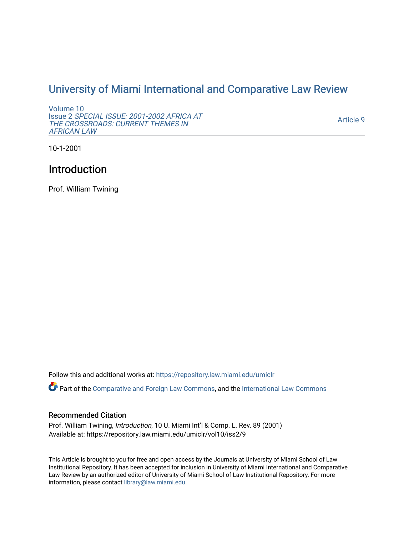## [University of Miami International and Comparative Law Review](https://repository.law.miami.edu/umiclr)

```
Volume 10 
Issue 2 SPECIAL ISSUE: 2001-2002 AFRICA AT 
THE CROSSROADS: CURRENT THEMES IN 
AFRICAN LAW
```
[Article 9](https://repository.law.miami.edu/umiclr/vol10/iss2/9) 

10-1-2001

## Introduction

Prof. William Twining

Follow this and additional works at: [https://repository.law.miami.edu/umiclr](https://repository.law.miami.edu/umiclr?utm_source=repository.law.miami.edu%2Fumiclr%2Fvol10%2Fiss2%2F9&utm_medium=PDF&utm_campaign=PDFCoverPages)

Part of the [Comparative and Foreign Law Commons,](http://network.bepress.com/hgg/discipline/836?utm_source=repository.law.miami.edu%2Fumiclr%2Fvol10%2Fiss2%2F9&utm_medium=PDF&utm_campaign=PDFCoverPages) and the [International Law Commons](http://network.bepress.com/hgg/discipline/609?utm_source=repository.law.miami.edu%2Fumiclr%2Fvol10%2Fiss2%2F9&utm_medium=PDF&utm_campaign=PDFCoverPages)

## Recommended Citation

Prof. William Twining, Introduction, 10 U. Miami Int'l & Comp. L. Rev. 89 (2001) Available at: https://repository.law.miami.edu/umiclr/vol10/iss2/9

This Article is brought to you for free and open access by the Journals at University of Miami School of Law Institutional Repository. It has been accepted for inclusion in University of Miami International and Comparative Law Review by an authorized editor of University of Miami School of Law Institutional Repository. For more information, please contact [library@law.miami.edu](mailto:library@law.miami.edu).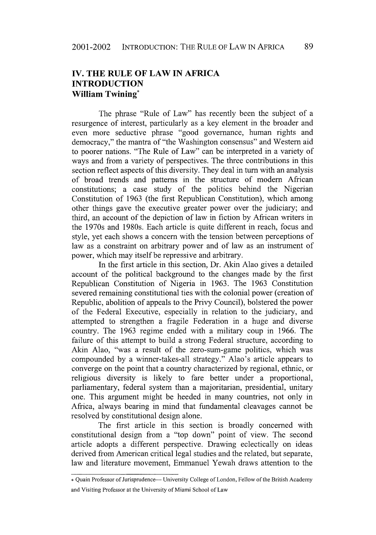## **IV. THE RULE OF LAW IN AFRICA INTRODUCTION William Twining\***

The phrase "Rule of Law" has recently been the subject of a resurgence of interest, particularly as a key element in the broader and even more seductive phrase "good governance, human rights and democracy," the mantra of "the Washington consensus" and Western aid to poorer nations. "The Rule of Law" can be interpreted in a variety of ways and from a variety of perspectives. The three contributions in this section reflect aspects of this diversity. They deal in turn with an analysis of broad trends and patterns in the structure of modern African constitutions; a case study of the politics behind the Nigerian Constitution of **1963** (the first Republican Constitution), which among other things gave the executive greater power over the judiciary; and third, an account of the depiction of law in fiction **by** African writers in the 1970s and 1980s. Each article is quite different in reach, focus and style, yet each shows a concern with the tension between perceptions of law as a constraint on arbitrary power and of law as an instrument of power, which may itself be repressive and arbitrary.

In the first article in this section, Dr. Akin Alao gives a detailed account of the political background to the changes made **by** the first Republican Constitution of Nigeria in **1963.** The **1963** Constitution severed remaining constitutional ties with the colonial power (creation of Republic, abolition of appeals to the Privy Council), bolstered the power of the Federal Executive, especially in relation to the judiciary, and attempted to strengthen a fragile Federation in a huge and diverse country. The 1963 regime ended with a military coup in 1966. The failure of this attempt to build a strong Federal structure, according to Akin Alao, "was a result of the zero-sum-game politics, which was compounded by a winner-takes-all strategy." Alao's article appears to converge on the point that a country characterized by regional, ethnic, or religious diversity is likely to fare better under a proportional, parliamentary, federal system than a majoritarian, presidential, unitary one. This argument might be heeded in many countries, not only in Africa, always bearing in mind that fundamental cleavages cannot be resolved by constitutional design alone.

The first article in this section is broadly concerned with constitutional design from a "top down" point of view. The second article adopts a different perspective. Drawing eclectically on ideas derived from American critical legal studies and the related, but separate, law and literature movement, Emmanuel Yewah draws attention to the

<sup>\*</sup> Quain Professor of Jurisprudence- University College of London, Fellow of the British Academy and Visiting Professor at the University of Miami School of Law